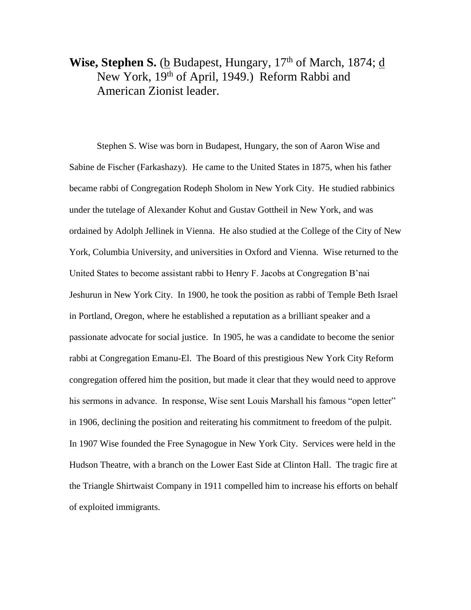**Wise, Stephen S.** (b Budapest, Hungary, 17<sup>th</sup> of March, 1874; d New York, 19<sup>th</sup> of April, 1949.) Reform Rabbi and American Zionist leader.

Stephen S. Wise was born in Budapest, Hungary, the son of Aaron Wise and Sabine de Fischer (Farkashazy). He came to the United States in 1875, when his father became rabbi of Congregation Rodeph Sholom in New York City. He studied rabbinics under the tutelage of Alexander Kohut and Gustav Gottheil in New York, and was ordained by Adolph Jellinek in Vienna. He also studied at the College of the City of New York, Columbia University, and universities in Oxford and Vienna. Wise returned to the United States to become assistant rabbi to Henry F. Jacobs at Congregation B'nai Jeshurun in New York City. In 1900, he took the position as rabbi of Temple Beth Israel in Portland, Oregon, where he established a reputation as a brilliant speaker and a passionate advocate for social justice. In 1905, he was a candidate to become the senior rabbi at Congregation Emanu-El. The Board of this prestigious New York City Reform congregation offered him the position, but made it clear that they would need to approve his sermons in advance. In response, Wise sent Louis Marshall his famous "open letter" in 1906, declining the position and reiterating his commitment to freedom of the pulpit. In 1907 Wise founded the Free Synagogue in New York City. Services were held in the Hudson Theatre, with a branch on the Lower East Side at Clinton Hall. The tragic fire at the Triangle Shirtwaist Company in 1911 compelled him to increase his efforts on behalf of exploited immigrants.